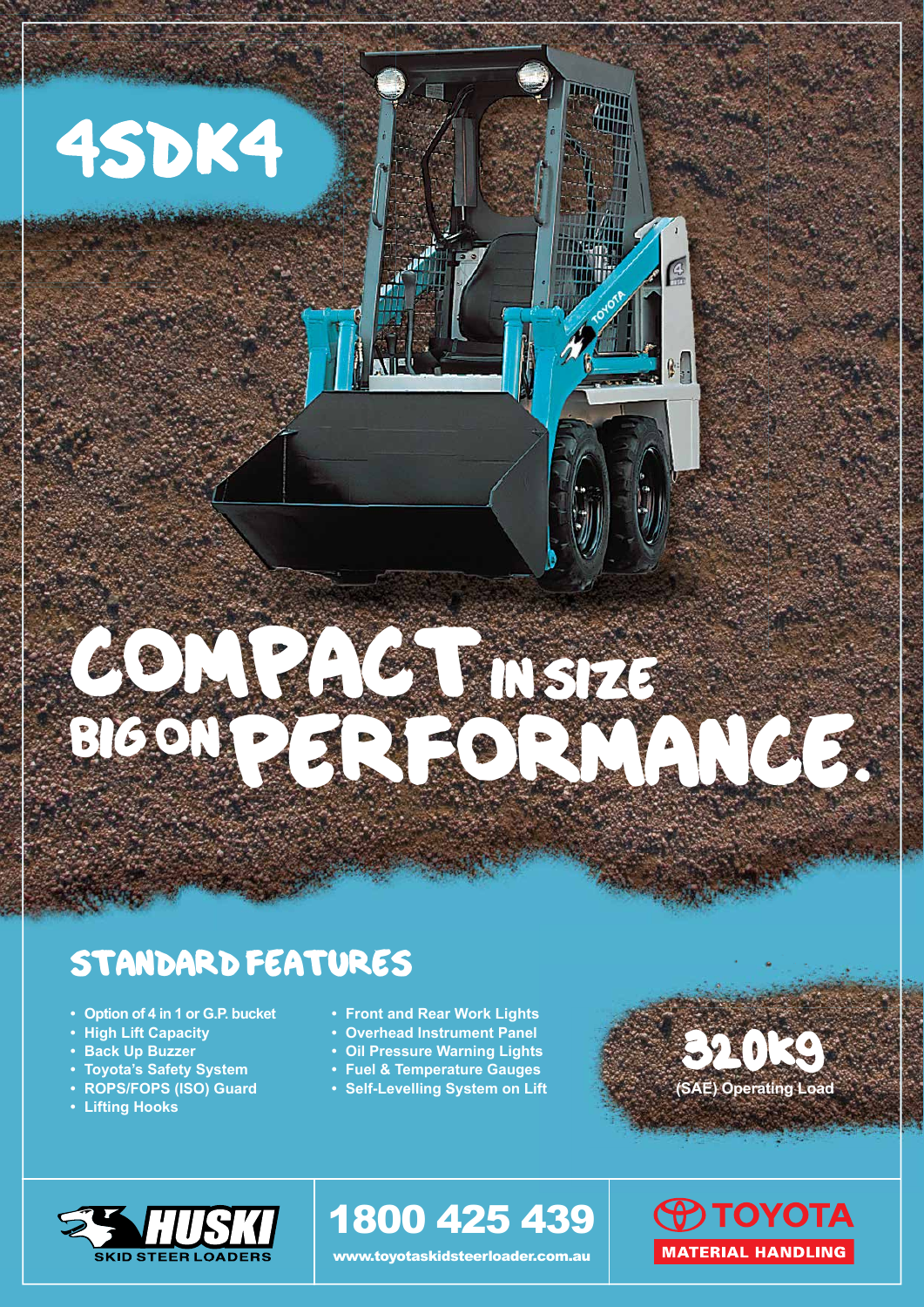# 4SDK4

# BIGON PERSENTAL CE.

COMPACTIONSTA?

### STANDARD FEATURES

- **Option of 4 in 1 or G.P. bucket**
- **High Lift Capacity**
- **Back Up Buzzer**
- **Toyota's Safety System**
- **ROPS/FOPS (ISO) Guard**
- **Lifting Hooks**
- **Front and Rear Work Lights**
- **Overhead Instrument Panel**
- **Oil Pressure Warning Lights**
- **Fuel & Temperature Gauges**
- **Self-Levelling System on Lift**



**TIME** 

ШĦ

 $\mathbb{C}$ .



## 1800 425 439

www.toyotaskidsteerloader.com.au

**O TOYOTA MATERIAL HANDLING**